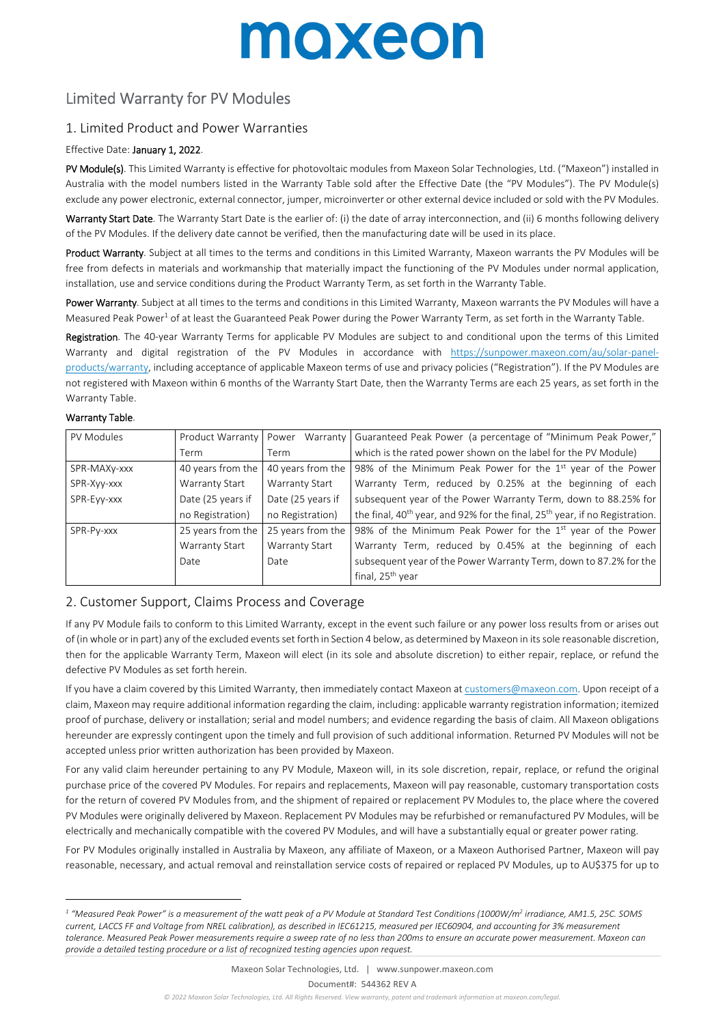# moxeon

### Limited Warranty for PV Modules

### 1. Limited Product and Power Warranties

#### Effective Date: January 1, 2022.

PV Module(s). This Limited Warranty is effective for photovoltaic modules from Maxeon Solar Technologies, Ltd. ("Maxeon") installed in Australia with the model numbers listed in the Warranty Table sold after the Effective Date (the "PV Modules"). The PV Module(s) exclude any power electronic, external connector, jumper, microinverter or other external device included or sold with the PV Modules.

Warranty Start Date. The Warranty Start Date is the earlier of: (i) the date of array interconnection, and (ii) 6 months following delivery of the PV Modules. If the delivery date cannot be verified, then the manufacturing date will be used in its place.

Product Warranty. Subject at all times to the terms and conditions in this Limited Warranty. Maxeon warrants the PV Modules will be free from defects in materials and workmanship that materially impact the functioning of the PV Modules under normal application, installation, use and service conditions during the Product Warranty Term, as set forth in the Warranty Table.

Power Warranty. Subject at all times to the terms and conditions in this Limited Warranty, Maxeon warrants the PV Modules will have a Measured Peak Power<sup>1</sup> of at least the Guaranteed Peak Power during the Power Warranty Term, as set forth in the Warranty Table.

Registration. The 40-year Warranty Terms for applicable PV Modules are subject to and conditional upon the terms of this Limited Warranty and digital registration of the PV Modules in accordance with https://sunpower.maxeon.com/au/solar-panelproducts/warranty, including acceptance of applicable Maxeon terms of use and privacy policies ("Registration"). If the PV Modules are not registered with Maxeon within 6 months of the Warranty Start Date, then the Warranty Terms are each 25 years, as set forth in the Warranty Table.

#### Warranty Table.

1

| PV Modules   | Product Warranty  | Power             | Warranty   Guaranteed Peak Power (a percentage of "Minimum Peak Power,"                             |
|--------------|-------------------|-------------------|-----------------------------------------------------------------------------------------------------|
|              | Term.             | Term              | which is the rated power shown on the label for the PV Module)                                      |
| SPR-MAXy-xxx | 40 years from the | 40 years from the | 98% of the Minimum Peak Power for the 1 <sup>st</sup> year of the Power                             |
| SPR-Xyy-xxx  | Warranty Start    | Warranty Start    | Warranty Term, reduced by 0.25% at the beginning of each                                            |
| SPR-Evv-xxx  | Date (25 years if | Date (25 years if | subsequent year of the Power Warranty Term, down to 88.25% for                                      |
|              | no Registration)  | no Registration)  | the final, 40 <sup>th</sup> year, and 92% for the final, 25 <sup>th</sup> year, if no Registration. |
| SPR-Py-xxx   | 25 years from the | 25 years from the | 98% of the Minimum Peak Power for the $1st$ year of the Power                                       |
|              | Warranty Start    | Warranty Start    | Warranty Term, reduced by 0.45% at the beginning of each                                            |
|              | Date              | Date              | subsequent year of the Power Warranty Term, down to 87.2% for the                                   |
|              |                   |                   | final, 25 <sup>th</sup> year                                                                        |

### 2. Customer Support, Claims Process and Coverage

If any PV Module fails to conform to this Limited Warranty, except in the event such failure or any power loss results from or arises out of (in whole or in part) any of the excluded events set forth in Section 4 below, as determined by Maxeon in its sole reasonable discretion, then for the applicable Warranty Term, Maxeon will elect (in its sole and absolute discretion) to either repair, replace, or refund the defective PV Modules as set forth herein.

If you have a claim covered by this Limited Warranty, then immediately contact Maxeon at customers@maxeon.com. Upon receipt of a claim, Maxeon may require additional information regarding the claim, including: applicable warranty registration information; itemized proof of purchase, delivery or installation; serial and model numbers; and evidence regarding the basis of claim. All Maxeon obligations hereunder are expressly contingent upon the timely and full provision of such additional information. Returned PV Modules will not be accepted unless prior written authorization has been provided by Maxeon.

For any valid claim hereunder pertaining to any PV Module, Maxeon will, in its sole discretion, repair, replace, or refund the original purchase price of the covered PV Modules. For repairs and replacements, Maxeon will pay reasonable, customary transportation costs for the return of covered PV Modules from, and the shipment of repaired or replacement PV Modules to, the place where the covered PV Modules were originally delivered by Maxeon. Replacement PV Modules may be refurbished or remanufactured PV Modules, will be electrically and mechanically compatible with the covered PV Modules, and will have a substantially equal or greater power rating.

For PV Modules originally installed in Australia by Maxeon, any affiliate of Maxeon, or a Maxeon Authorised Partner, Maxeon will pay reasonable, necessary, and actual removal and reinstallation service costs of repaired or replaced PV Modules, up to AU\$375 for up to

<sup>&</sup>lt;sup>1</sup> "Measured Peak Power" is a measurement of the watt peak of a PV Module at Standard Test Conditions (1000W/m<sup>2</sup> irradiance, AM1.5, 25C. SOMS *current, LACCS FF and Voltage from NREL calibration), as described in IEC61215, measured per IEC60904, and accounting for 3% measurement tolerance. Measured Peak Power measurements require a sweep rate of no less than 200ms to ensure an accurate power measurement. Maxeon can provide a detailed testing procedure or a list of recognized testing agencies upon request.*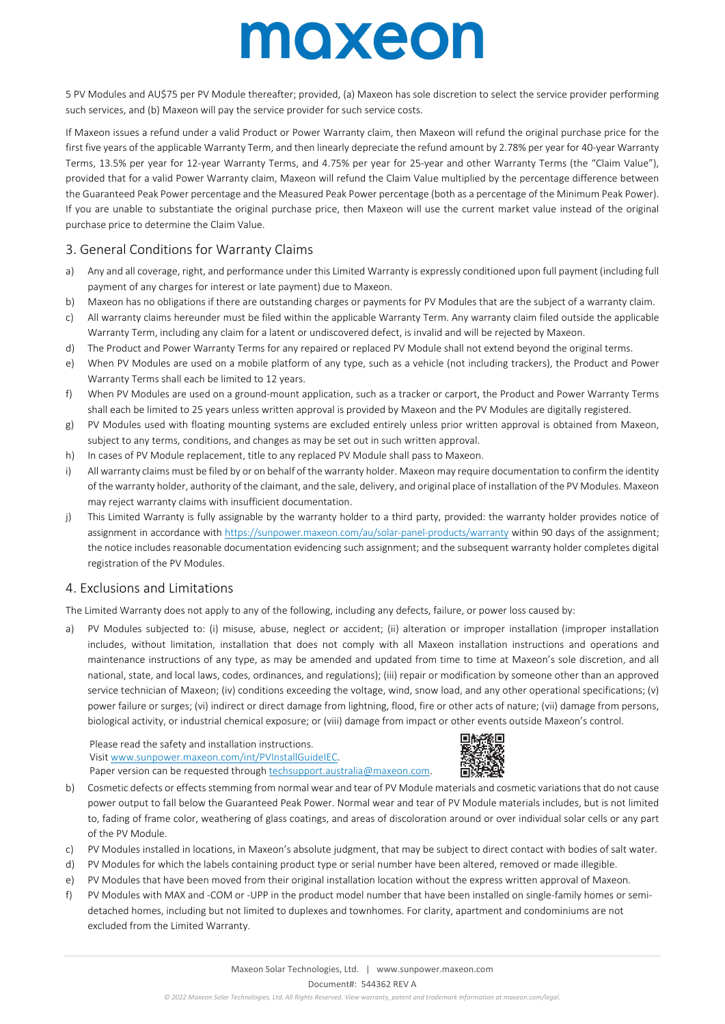# moxeon

5 PV Modules and AU\$75 per PV Module thereafter; provided, (a) Maxeon has sole discretion to select the service provider performing such services, and (b) Maxeon will pay the service provider for such service costs.

If Maxeon issues a refund under a valid Product or Power Warranty claim, then Maxeon will refund the original purchase price for the first five years of the applicable Warranty Term, and then linearly depreciate the refund amount by 2.78% per year for 40-year Warranty Terms, 13.5% per year for 12-year Warranty Terms, and 4.75% per year for 25-year and other Warranty Terms (the "Claim Value"), provided that for a valid Power Warranty claim, Maxeon will refund the Claim Value multiplied by the percentage difference between the Guaranteed Peak Power percentage and the Measured Peak Power percentage (both as a percentage of the Minimum Peak Power). If you are unable to substantiate the original purchase price, then Maxeon will use the current market value instead of the original purchase price to determine the Claim Value.

### 3. General Conditions for Warranty Claims

- a) Any and all coverage, right, and performance under this Limited Warranty is expressly conditioned upon full payment (including full payment of any charges for interest or late payment) due to Maxeon.
- b) Maxeon has no obligations if there are outstanding charges or payments for PV Modules that are the subject of a warranty claim.
- c) All warranty claims hereunder must be filed within the applicable Warranty Term. Any warranty claim filed outside the applicable Warranty Term, including any claim for a latent or undiscovered defect, is invalid and will be rejected by Maxeon.
- d) The Product and Power Warranty Terms for any repaired or replaced PV Module shall not extend beyond the original terms.
- e) When PV Modules are used on a mobile platform of any type, such as a vehicle (not including trackers), the Product and Power Warranty Terms shall each be limited to 12 years.
- f) When PV Modules are used on a ground-mount application, such as a tracker or carport, the Product and Power Warranty Terms shall each be limited to 25 years unless written approval is provided by Maxeon and the PV Modules are digitally registered.
- g) PV Modules used with floating mounting systems are excluded entirely unless prior written approval is obtained from Maxeon, subject to any terms, conditions, and changes as may be set out in such written approval.
- h) In cases of PV Module replacement, title to any replaced PV Module shall pass to Maxeon.
- i) All warranty claims must be filed by or on behalf of the warranty holder. Maxeon may require documentation to confirm the identity of the warranty holder, authority of the claimant, and the sale, delivery, and original place of installation of the PV Modules. Maxeon may reject warranty claims with insufficient documentation.
- j) This Limited Warranty is fully assignable by the warranty holder to a third party, provided: the warranty holder provides notice of assignment in accordance with https://sunpower.maxeon.com/au/solar-panel-products/warranty within 90 days of the assignment; the notice includes reasonable documentation evidencing such assignment; and the subsequent warranty holder completes digital registration of the PV Modules.

### 4. Exclusions and Limitations

The Limited Warranty does not apply to any of the following, including any defects, failure, or power loss caused by:

a) PV Modules subjected to: (i) misuse, abuse, neglect or accident; (ii) alteration or improper installation (improper installation includes, without limitation, installation that does not comply with all Maxeon installation instructions and operations and maintenance instructions of any type, as may be amended and updated from time to time at Maxeon's sole discretion, and all national, state, and local laws, codes, ordinances, and regulations); (iii) repair or modification by someone other than an approved service technician of Maxeon; (iv) conditions exceeding the voltage, wind, snow load, and any other operational specifications; (v) power failure or surges; (vi) indirect or direct damage from lightning, flood, fire or other acts of nature; (vii) damage from persons, biological activity, or industrial chemical exposure; or (viii) damage from impact or other events outside Maxeon's control.

Please read the safety and installation instructions. Visit www.sunpower.maxeon.com/int/PVInstallGuideIEC. Paper version can be requested through techsupport.australia@maxeon.com.



- b) Cosmetic defects or effects stemming from normal wear and tear of PV Module materials and cosmetic variations that do not cause power output to fall below the Guaranteed Peak Power. Normal wear and tear of PV Module materials includes, but is not limited to, fading of frame color, weathering of glass coatings, and areas of discoloration around or over individual solar cells or any part of the PV Module.
- c) PV Modules installed in locations, in Maxeon's absolute judgment, that may be subject to direct contact with bodies of salt water.
- d) PV Modules for which the labels containing product type or serial number have been altered, removed or made illegible.
- e) PV Modules that have been moved from their original installation location without the express written approval of Maxeon.
- f) PV Modules with MAX and -COM or -UPP in the product model number that have been installed on single-family homes or semidetached homes, including but not limited to duplexes and townhomes. For clarity, apartment and condominiums are not excluded from the Limited Warranty.